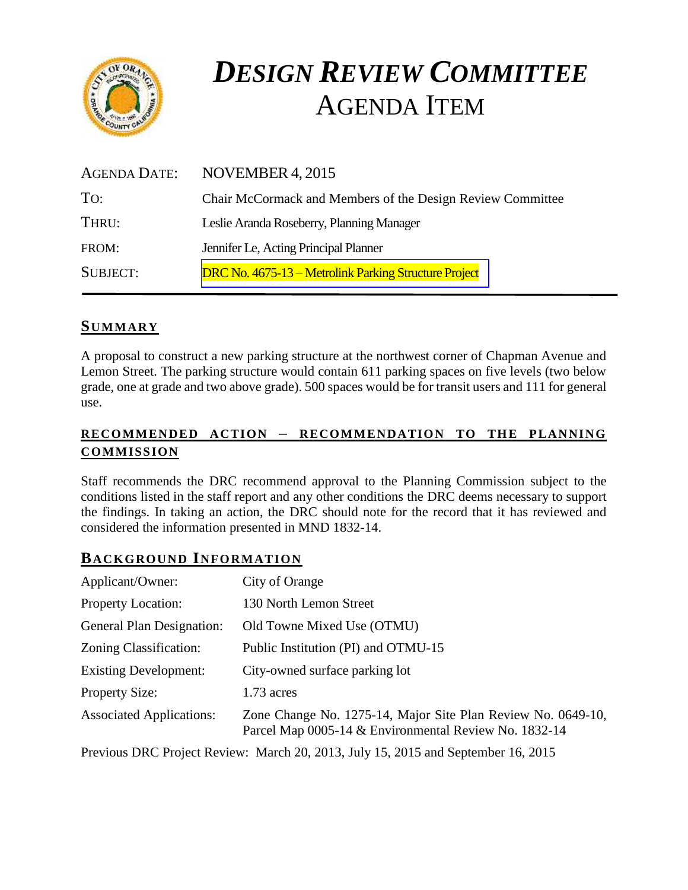

# *DESIGN REVIEW COMMITTEE*  AGENDA ITEM

| <b>AGENDA DATE:</b> | NOVEMBER 4, 2015                                           |
|---------------------|------------------------------------------------------------|
| To:                 | Chair McCormack and Members of the Design Review Committee |
| THRU:               | Leslie Aranda Roseberry, Planning Manager                  |
| FROM:               | Jennifer Le, Acting Principal Planner                      |
| <b>SUBJECT:</b>     | DRC No. 4675-13 – Metrolink Parking Structure Project      |

# **SUMMARY**

A proposal to construct a new parking structure at the northwest corner of Chapman Avenue and Lemon Street. The parking structure would contain 611 parking spaces on five levels (two below grade, one at grade and two above grade). 500 spaces would be for transit users and 111 for general use.

## **RECOMMENDED ACTION – RECOMMENDATION TO THE PLANNING COMMISSION**

Staff recommends the DRC recommend approval to the Planning Commission subject to the conditions listed in the staff report and any other conditions the DRC deems necessary to support the findings. In taking an action, the DRC should note for the record that it has reviewed and considered the information presented in MND 1832-14.

## **BACKGROUND INFORMATION**

| Applicant/Owner:                 | City of Orange                                                                                                        |
|----------------------------------|-----------------------------------------------------------------------------------------------------------------------|
| <b>Property Location:</b>        | 130 North Lemon Street                                                                                                |
| <b>General Plan Designation:</b> | Old Towne Mixed Use (OTMU)                                                                                            |
| Zoning Classification:           | Public Institution (PI) and OTMU-15                                                                                   |
| <b>Existing Development:</b>     | City-owned surface parking lot                                                                                        |
| <b>Property Size:</b>            | $1.73$ acres                                                                                                          |
| <b>Associated Applications:</b>  | Zone Change No. 1275-14, Major Site Plan Review No. 0649-10,<br>Parcel Map 0005-14 & Environmental Review No. 1832-14 |
|                                  | Previous DRC Project Review: March 20, 2013, July 15, 2015 and September 16, 2015                                     |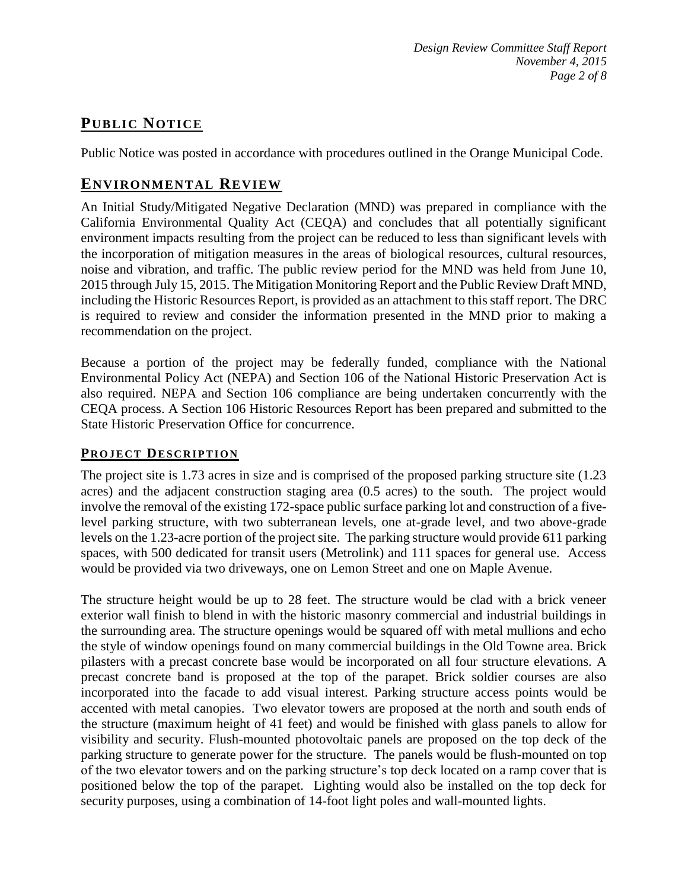# **PUB LIC NOTICE**

Public Notice was posted in accordance with procedures outlined in the Orange Municipal Code.

# **ENVIRONMENTAL REVIEW**

An Initial Study/Mitigated Negative Declaration (MND) was prepared in compliance with the California Environmental Quality Act (CEQA) and concludes that all potentially significant environment impacts resulting from the project can be reduced to less than significant levels with the incorporation of mitigation measures in the areas of biological resources, cultural resources, noise and vibration, and traffic. The public review period for the MND was held from June 10, 2015 through July 15, 2015. The Mitigation Monitoring Report and the Public Review Draft MND, including the Historic Resources Report, is provided as an attachment to this staff report. The DRC is required to review and consider the information presented in the MND prior to making a recommendation on the project.

Because a portion of the project may be federally funded, compliance with the National Environmental Policy Act (NEPA) and Section 106 of the National Historic Preservation Act is also required. NEPA and Section 106 compliance are being undertaken concurrently with the CEQA process. A Section 106 Historic Resources Report has been prepared and submitted to the State Historic Preservation Office for concurrence.

## **PROJECT DESCRIPTION**

The project site is 1.73 acres in size and is comprised of the proposed parking structure site (1.23 acres) and the adjacent construction staging area (0.5 acres) to the south. The project would involve the removal of the existing 172-space public surface parking lot and construction of a fivelevel parking structure, with two subterranean levels, one at-grade level, and two above-grade levels on the 1.23-acre portion of the project site. The parking structure would provide 611 parking spaces, with 500 dedicated for transit users (Metrolink) and 111 spaces for general use. Access would be provided via two driveways, one on Lemon Street and one on Maple Avenue.

The structure height would be up to 28 feet. The structure would be clad with a brick veneer exterior wall finish to blend in with the historic masonry commercial and industrial buildings in the surrounding area. The structure openings would be squared off with metal mullions and echo the style of window openings found on many commercial buildings in the Old Towne area. Brick pilasters with a precast concrete base would be incorporated on all four structure elevations. A precast concrete band is proposed at the top of the parapet. Brick soldier courses are also incorporated into the facade to add visual interest. Parking structure access points would be accented with metal canopies. Two elevator towers are proposed at the north and south ends of the structure (maximum height of 41 feet) and would be finished with glass panels to allow for visibility and security. Flush-mounted photovoltaic panels are proposed on the top deck of the parking structure to generate power for the structure. The panels would be flush-mounted on top of the two elevator towers and on the parking structure's top deck located on a ramp cover that is positioned below the top of the parapet. Lighting would also be installed on the top deck for security purposes, using a combination of 14-foot light poles and wall-mounted lights.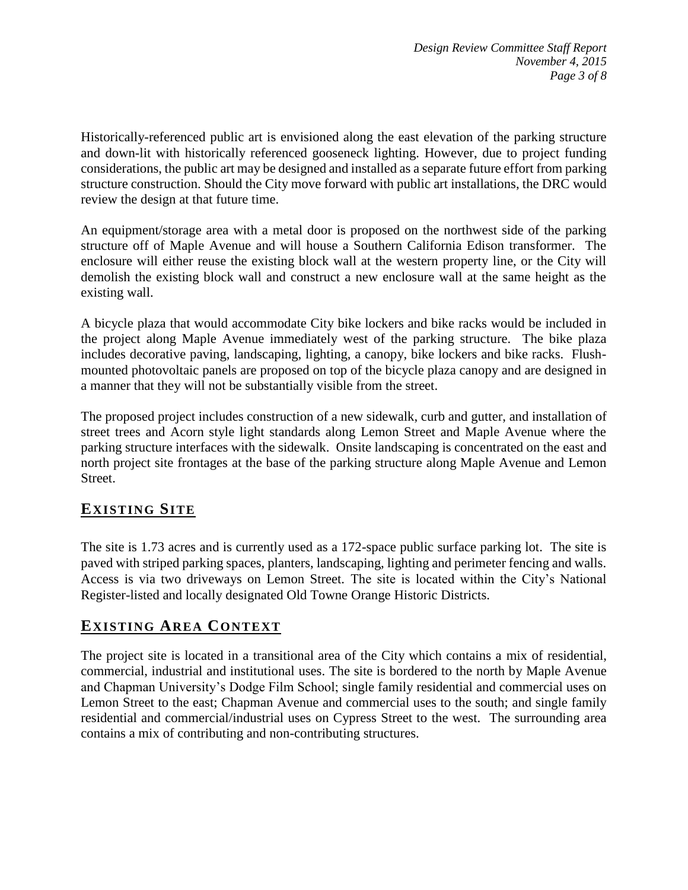Historically-referenced public art is envisioned along the east elevation of the parking structure and down-lit with historically referenced gooseneck lighting. However, due to project funding considerations, the public art may be designed and installed as a separate future effort from parking structure construction. Should the City move forward with public art installations, the DRC would review the design at that future time.

An equipment/storage area with a metal door is proposed on the northwest side of the parking structure off of Maple Avenue and will house a Southern California Edison transformer. The enclosure will either reuse the existing block wall at the western property line, or the City will demolish the existing block wall and construct a new enclosure wall at the same height as the existing wall.

A bicycle plaza that would accommodate City bike lockers and bike racks would be included in the project along Maple Avenue immediately west of the parking structure. The bike plaza includes decorative paving, landscaping, lighting, a canopy, bike lockers and bike racks. Flushmounted photovoltaic panels are proposed on top of the bicycle plaza canopy and are designed in a manner that they will not be substantially visible from the street.

The proposed project includes construction of a new sidewalk, curb and gutter, and installation of street trees and Acorn style light standards along Lemon Street and Maple Avenue where the parking structure interfaces with the sidewalk. Onsite landscaping is concentrated on the east and north project site frontages at the base of the parking structure along Maple Avenue and Lemon Street.

# **EXISTING SITE**

The site is 1.73 acres and is currently used as a 172-space public surface parking lot. The site is paved with striped parking spaces, planters, landscaping, lighting and perimeter fencing and walls. Access is via two driveways on Lemon Street. The site is located within the City's National Register-listed and locally designated Old Towne Orange Historic Districts.

# **EXISTING AREA CONTEXT**

The project site is located in a transitional area of the City which contains a mix of residential, commercial, industrial and institutional uses. The site is bordered to the north by Maple Avenue and Chapman University's Dodge Film School; single family residential and commercial uses on Lemon Street to the east; Chapman Avenue and commercial uses to the south; and single family residential and commercial/industrial uses on Cypress Street to the west. The surrounding area contains a mix of contributing and non-contributing structures.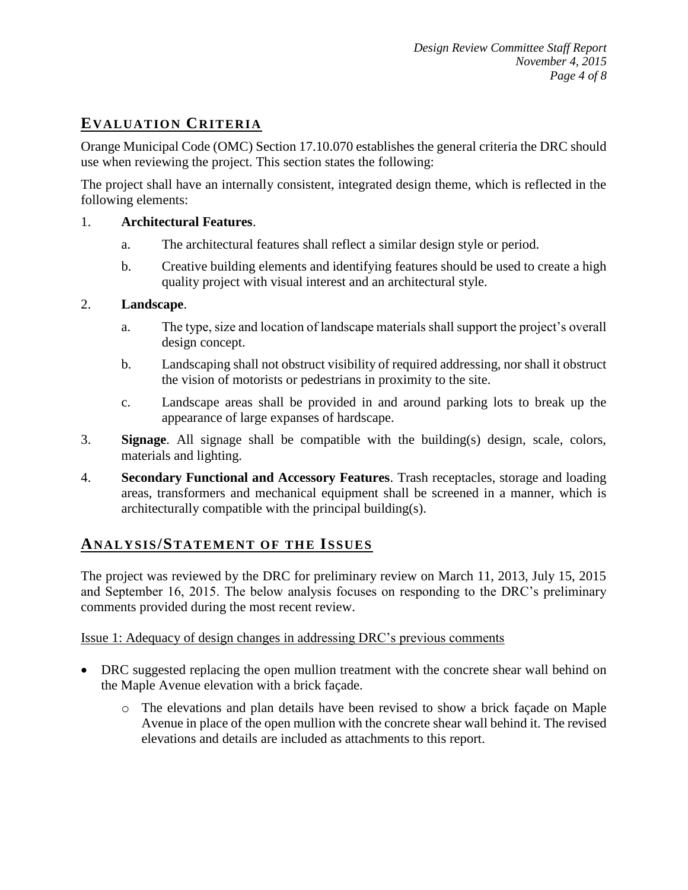# **EVALUATION CRITERIA**

Orange Municipal Code (OMC) Section 17.10.070 establishes the general criteria the DRC should use when reviewing the project. This section states the following:

The project shall have an internally consistent, integrated design theme, which is reflected in the following elements:

#### 1. **Architectural Features**.

- a. The architectural features shall reflect a similar design style or period.
- b. Creative building elements and identifying features should be used to create a high quality project with visual interest and an architectural style.

#### 2. **Landscape**.

- a. The type, size and location of landscape materials shall support the project's overall design concept.
- b. Landscaping shall not obstruct visibility of required addressing, nor shall it obstruct the vision of motorists or pedestrians in proximity to the site.
- c. Landscape areas shall be provided in and around parking lots to break up the appearance of large expanses of hardscape.
- 3. **Signage**. All signage shall be compatible with the building(s) design, scale, colors, materials and lighting.
- 4. **Secondary Functional and Accessory Features**. Trash receptacles, storage and loading areas, transformers and mechanical equipment shall be screened in a manner, which is architecturally compatible with the principal building(s).

## **ANALY SIS/STATEMENT OF THE ISSUES**

The project was reviewed by the DRC for preliminary review on March 11, 2013, July 15, 2015 and September 16, 2015. The below analysis focuses on responding to the DRC's preliminary comments provided during the most recent review.

#### Issue 1: Adequacy of design changes in addressing DRC's previous comments

- DRC suggested replacing the open mullion treatment with the concrete shear wall behind on the Maple Avenue elevation with a brick façade.
	- o The elevations and plan details have been revised to show a brick façade on Maple Avenue in place of the open mullion with the concrete shear wall behind it. The revised elevations and details are included as attachments to this report.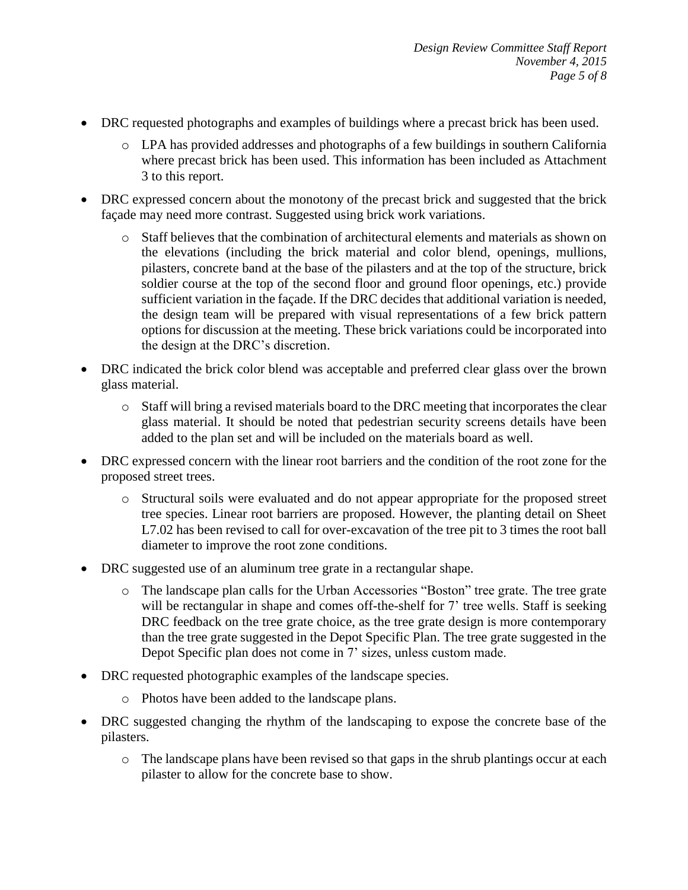- DRC requested photographs and examples of buildings where a precast brick has been used.
	- o LPA has provided addresses and photographs of a few buildings in southern California where precast brick has been used. This information has been included as Attachment 3 to this report.
- DRC expressed concern about the monotony of the precast brick and suggested that the brick façade may need more contrast. Suggested using brick work variations.
	- o Staff believes that the combination of architectural elements and materials as shown on the elevations (including the brick material and color blend, openings, mullions, pilasters, concrete band at the base of the pilasters and at the top of the structure, brick soldier course at the top of the second floor and ground floor openings, etc.) provide sufficient variation in the façade. If the DRC decides that additional variation is needed, the design team will be prepared with visual representations of a few brick pattern options for discussion at the meeting. These brick variations could be incorporated into the design at the DRC's discretion.
- DRC indicated the brick color blend was acceptable and preferred clear glass over the brown glass material.
	- o Staff will bring a revised materials board to the DRC meeting that incorporates the clear glass material. It should be noted that pedestrian security screens details have been added to the plan set and will be included on the materials board as well.
- DRC expressed concern with the linear root barriers and the condition of the root zone for the proposed street trees.
	- o Structural soils were evaluated and do not appear appropriate for the proposed street tree species. Linear root barriers are proposed. However, the planting detail on Sheet L7.02 has been revised to call for over-excavation of the tree pit to 3 times the root ball diameter to improve the root zone conditions.
- DRC suggested use of an aluminum tree grate in a rectangular shape.
	- o The landscape plan calls for the Urban Accessories "Boston" tree grate. The tree grate will be rectangular in shape and comes off-the-shelf for 7' tree wells. Staff is seeking DRC feedback on the tree grate choice, as the tree grate design is more contemporary than the tree grate suggested in the Depot Specific Plan. The tree grate suggested in the Depot Specific plan does not come in 7' sizes, unless custom made.
- DRC requested photographic examples of the landscape species.
	- o Photos have been added to the landscape plans.
- DRC suggested changing the rhythm of the landscaping to expose the concrete base of the pilasters.
	- o The landscape plans have been revised so that gaps in the shrub plantings occur at each pilaster to allow for the concrete base to show.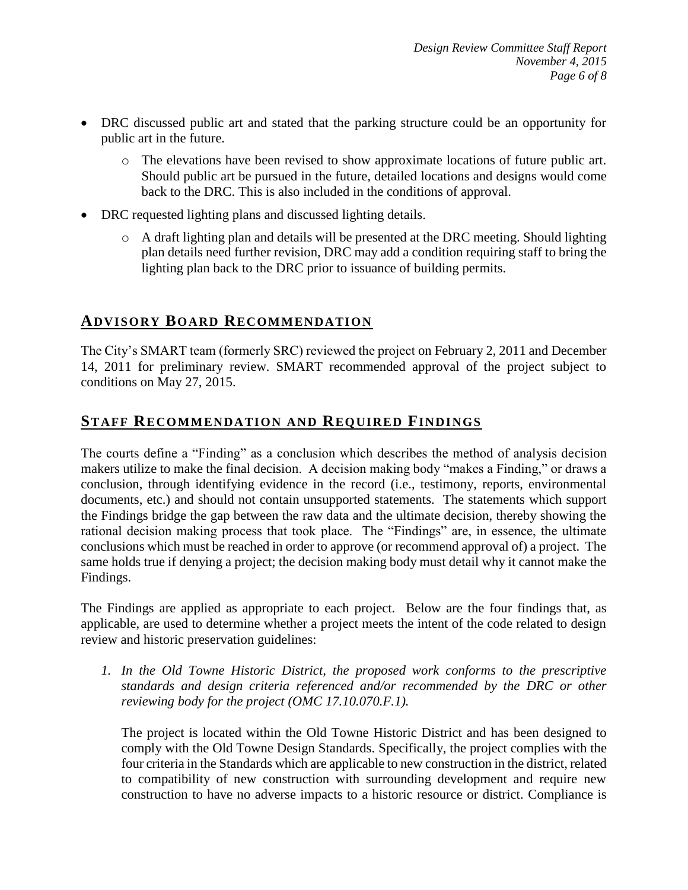- DRC discussed public art and stated that the parking structure could be an opportunity for public art in the future.
	- o The elevations have been revised to show approximate locations of future public art. Should public art be pursued in the future, detailed locations and designs would come back to the DRC. This is also included in the conditions of approval.
- DRC requested lighting plans and discussed lighting details.
	- o A draft lighting plan and details will be presented at the DRC meeting. Should lighting plan details need further revision, DRC may add a condition requiring staff to bring the lighting plan back to the DRC prior to issuance of building permits.

# **ADVISORY BOARD RECOMMENDATION**

The City's SMART team (formerly SRC) reviewed the project on February 2, 2011 and December 14, 2011 for preliminary review. SMART recommended approval of the project subject to conditions on May 27, 2015.

# **STAFF RECOMMENDATION AND REQUIRED FINDINGS**

The courts define a "Finding" as a conclusion which describes the method of analysis decision makers utilize to make the final decision. A decision making body "makes a Finding," or draws a conclusion, through identifying evidence in the record (i.e., testimony, reports, environmental documents, etc.) and should not contain unsupported statements. The statements which support the Findings bridge the gap between the raw data and the ultimate decision, thereby showing the rational decision making process that took place. The "Findings" are, in essence, the ultimate conclusions which must be reached in order to approve (or recommend approval of) a project. The same holds true if denying a project; the decision making body must detail why it cannot make the Findings.

The Findings are applied as appropriate to each project.Below are the four findings that, as applicable, are used to determine whether a project meets the intent of the code related to design review and historic preservation guidelines:

*1. In the Old Towne Historic District, the proposed work conforms to the prescriptive standards and design criteria referenced and/or recommended by the DRC or other reviewing body for the project (OMC 17.10.070.F.1).*

The project is located within the Old Towne Historic District and has been designed to comply with the Old Towne Design Standards. Specifically, the project complies with the four criteria in the Standards which are applicable to new construction in the district, related to compatibility of new construction with surrounding development and require new construction to have no adverse impacts to a historic resource or district. Compliance is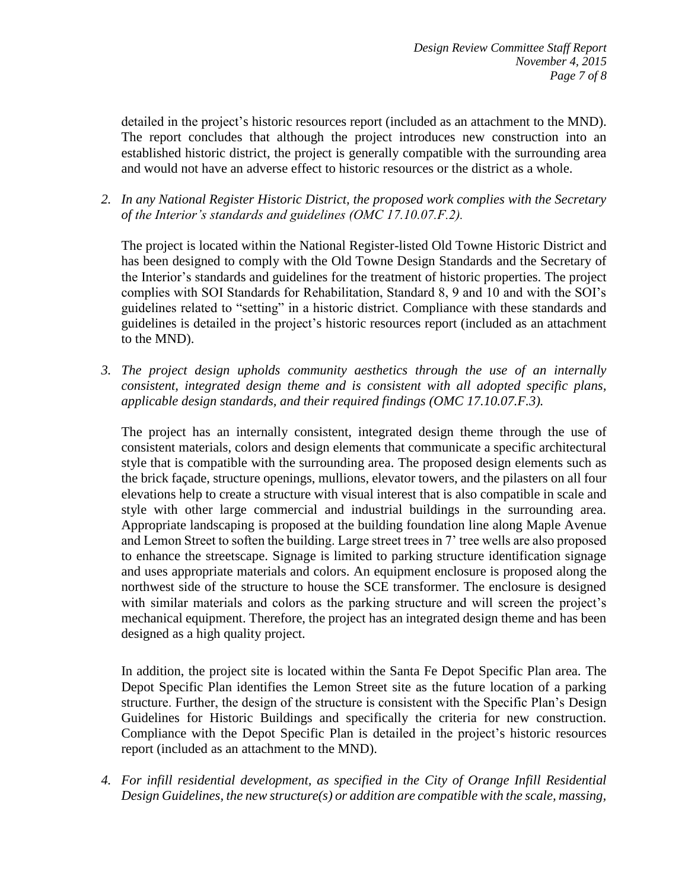detailed in the project's historic resources report (included as an attachment to the MND). The report concludes that although the project introduces new construction into an established historic district, the project is generally compatible with the surrounding area and would not have an adverse effect to historic resources or the district as a whole.

*2. In any National Register Historic District, the proposed work complies with the Secretary of the Interior's standards and guidelines (OMC 17.10.07.F.2).*

The project is located within the National Register-listed Old Towne Historic District and has been designed to comply with the Old Towne Design Standards and the Secretary of the Interior's standards and guidelines for the treatment of historic properties. The project complies with SOI Standards for Rehabilitation, Standard 8, 9 and 10 and with the SOI's guidelines related to "setting" in a historic district. Compliance with these standards and guidelines is detailed in the project's historic resources report (included as an attachment to the MND).

*3. The project design upholds community aesthetics through the use of an internally consistent, integrated design theme and is consistent with all adopted specific plans, applicable design standards, and their required findings (OMC 17.10.07.F.3).*

The project has an internally consistent, integrated design theme through the use of consistent materials, colors and design elements that communicate a specific architectural style that is compatible with the surrounding area. The proposed design elements such as the brick façade, structure openings, mullions, elevator towers, and the pilasters on all four elevations help to create a structure with visual interest that is also compatible in scale and style with other large commercial and industrial buildings in the surrounding area. Appropriate landscaping is proposed at the building foundation line along Maple Avenue and Lemon Street to soften the building. Large street trees in 7' tree wells are also proposed to enhance the streetscape. Signage is limited to parking structure identification signage and uses appropriate materials and colors. An equipment enclosure is proposed along the northwest side of the structure to house the SCE transformer. The enclosure is designed with similar materials and colors as the parking structure and will screen the project's mechanical equipment. Therefore, the project has an integrated design theme and has been designed as a high quality project.

In addition, the project site is located within the Santa Fe Depot Specific Plan area. The Depot Specific Plan identifies the Lemon Street site as the future location of a parking structure. Further, the design of the structure is consistent with the Specific Plan's Design Guidelines for Historic Buildings and specifically the criteria for new construction. Compliance with the Depot Specific Plan is detailed in the project's historic resources report (included as an attachment to the MND).

*4. For infill residential development, as specified in the City of Orange Infill Residential Design Guidelines, the new structure(s) or addition are compatible with the scale, massing,*